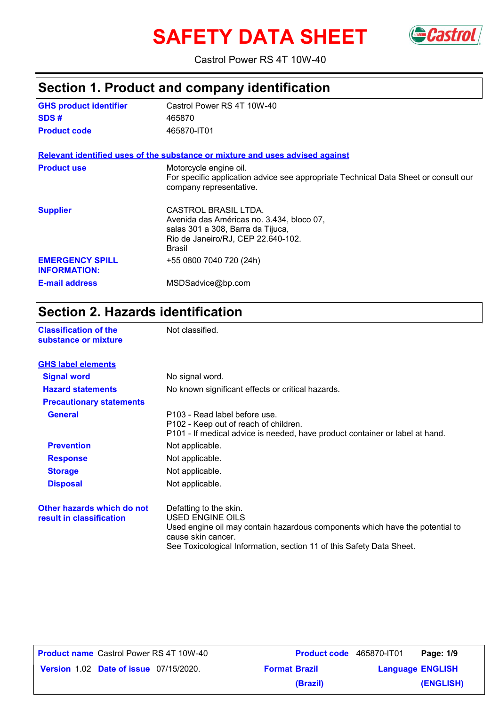# **SAFETY DATA SHEET** Gastrol



Castrol Power RS 4T 10W-40

|                                               | Section 1. Product and company identification                                                                                                          |  |  |
|-----------------------------------------------|--------------------------------------------------------------------------------------------------------------------------------------------------------|--|--|
| <b>GHS product identifier</b>                 | Castrol Power RS 4T 10W-40                                                                                                                             |  |  |
| SDS#                                          | 465870                                                                                                                                                 |  |  |
| <b>Product code</b>                           | 465870-IT01                                                                                                                                            |  |  |
|                                               | Relevant identified uses of the substance or mixture and uses advised against                                                                          |  |  |
| <b>Product use</b>                            | Motorcycle engine oil.<br>For specific application advice see appropriate Technical Data Sheet or consult our<br>company representative.               |  |  |
| <b>Supplier</b>                               | CASTROL BRASIL LTDA.<br>Avenida das Américas no. 3.434, bloco 07,<br>salas 301 a 308, Barra da Tijuca,<br>Rio de Janeiro/RJ, CEP 22.640-102.<br>Brasil |  |  |
| <b>EMERGENCY SPILL</b><br><b>INFORMATION:</b> | +55 0800 7040 720 (24h)                                                                                                                                |  |  |
| <b>E-mail address</b>                         | MSDSadvice@bp.com                                                                                                                                      |  |  |

## **Section 2. Hazards identification**

| <b>Classification of the</b><br>substance or mixture   | Not classified.                                                                                                                                         |
|--------------------------------------------------------|---------------------------------------------------------------------------------------------------------------------------------------------------------|
| <b>GHS label elements</b>                              |                                                                                                                                                         |
| <b>Signal word</b>                                     | No signal word.                                                                                                                                         |
| <b>Hazard statements</b>                               | No known significant effects or critical hazards.                                                                                                       |
| <b>Precautionary statements</b>                        |                                                                                                                                                         |
| <b>General</b>                                         | P103 - Read label before use.<br>P102 - Keep out of reach of children.<br>P101 - If medical advice is needed, have product container or label at hand.  |
| <b>Prevention</b>                                      | Not applicable.                                                                                                                                         |
| <b>Response</b>                                        | Not applicable.                                                                                                                                         |
| <b>Storage</b>                                         | Not applicable.                                                                                                                                         |
| <b>Disposal</b>                                        | Not applicable.                                                                                                                                         |
| Other hazards which do not<br>result in classification | Defatting to the skin.<br><b>USED ENGINE OILS</b><br>Used engine oil may contain hazardous components which have the potential to<br>cause skin cancer. |

See Toxicological Information, section 11 of this Safety Data Sheet.

**Product name** Castrol Power RS 4T 10W-40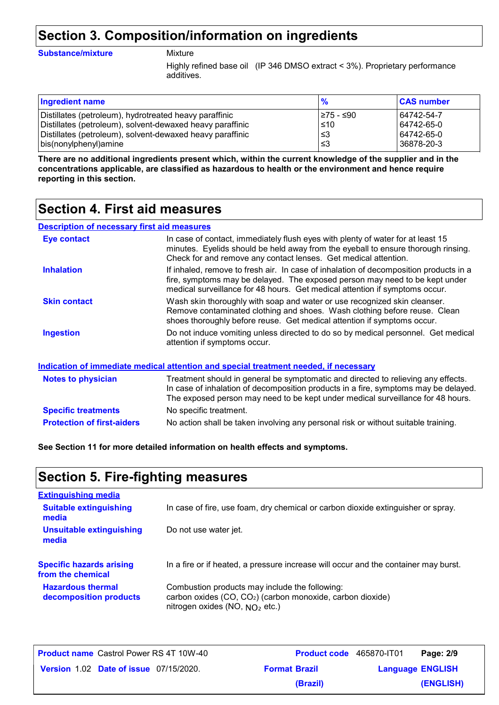### **Section 3. Composition/information on ingredients**

#### **Substance/mixture** Mixture

Highly refined base oil (IP 346 DMSO extract < 3%). Proprietary performance additives.

| <b>Ingredient name</b>                                    |            | <b>CAS number</b> |
|-----------------------------------------------------------|------------|-------------------|
| Distillates (petroleum), hydrotreated heavy paraffinic    | I≥75 - ≤90 | 64742-54-7        |
| Distillates (petroleum), solvent-dewaxed heavy paraffinic | $\leq 10$  | 64742-65-0        |
| Distillates (petroleum), solvent-dewaxed heavy paraffinic | ∣≤3        | 64742-65-0        |
| bis(nonylphenyl) amine                                    | ≤3         | 36878-20-3        |

**There are no additional ingredients present which, within the current knowledge of the supplier and in the concentrations applicable, are classified as hazardous to health or the environment and hence require reporting in this section.**

### **Section 4. First aid measures**

### **Description of necessary first aid measures**

| Eye contact                       | In case of contact, immediately flush eyes with plenty of water for at least 15<br>minutes. Eyelids should be held away from the eyeball to ensure thorough rinsing.<br>Check for and remove any contact lenses. Get medical attention.                     |
|-----------------------------------|-------------------------------------------------------------------------------------------------------------------------------------------------------------------------------------------------------------------------------------------------------------|
| <b>Inhalation</b>                 | If inhaled, remove to fresh air. In case of inhalation of decomposition products in a<br>fire, symptoms may be delayed. The exposed person may need to be kept under<br>medical surveillance for 48 hours. Get medical attention if symptoms occur.         |
| <b>Skin contact</b>               | Wash skin thoroughly with soap and water or use recognized skin cleanser.<br>Remove contaminated clothing and shoes. Wash clothing before reuse. Clean<br>shoes thoroughly before reuse. Get medical attention if symptoms occur.                           |
| Ingestion                         | Do not induce vomiting unless directed to do so by medical personnel. Get medical<br>attention if symptoms occur.                                                                                                                                           |
|                                   | <u>Indication of immediate medical attention and special treatment needed, if necessary</u>                                                                                                                                                                 |
| <b>Notes to physician</b>         | Treatment should in general be symptomatic and directed to relieving any effects.<br>In case of inhalation of decomposition products in a fire, symptoms may be delayed.<br>The exposed person may need to be kept under medical surveillance for 48 hours. |
| <b>Specific treatments</b>        | No specific treatment.                                                                                                                                                                                                                                      |
| <b>Protection of first-aiders</b> | No action shall be taken involving any personal risk or without suitable training.                                                                                                                                                                          |

**See Section 11 for more detailed information on health effects and symptoms.**

### **Section 5. Fire-fighting measures**

| <b>Extinguishing media</b>                           |                                                                                                                                                              |
|------------------------------------------------------|--------------------------------------------------------------------------------------------------------------------------------------------------------------|
| <b>Suitable extinguishing</b><br>media               | In case of fire, use foam, dry chemical or carbon dioxide extinguisher or spray.                                                                             |
| <b>Unsuitable extinguishing</b><br>media             | Do not use water jet.                                                                                                                                        |
| <b>Specific hazards arising</b><br>from the chemical | In a fire or if heated, a pressure increase will occur and the container may burst.                                                                          |
| <b>Hazardous thermal</b><br>decomposition products   | Combustion products may include the following:<br>carbon oxides (CO, CO <sub>2</sub> ) (carbon monoxide, carbon dioxide)<br>nitrogen oxides (NO, $NO2$ etc.) |

| Product name Castrol Power RS 4T 10W-40       | <b>Product code</b> 465870-IT01 |                         | Page: 2/9 |
|-----------------------------------------------|---------------------------------|-------------------------|-----------|
| <b>Version 1.02 Date of issue 07/15/2020.</b> | <b>Format Brazil</b>            | <b>Language ENGLISH</b> |           |
|                                               | (Brazil)                        |                         | (ENGLISH) |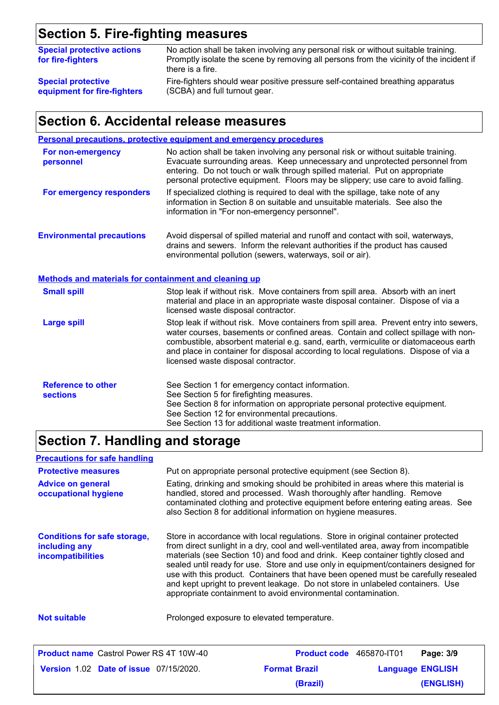## **Section 5. Fire-fighting measures**

| <b>Special protective actions</b><br>for fire-fighters | No action shall be taken involving any personal risk or without suitable training.<br>Promptly isolate the scene by removing all persons from the vicinity of the incident if<br>there is a fire. |
|--------------------------------------------------------|---------------------------------------------------------------------------------------------------------------------------------------------------------------------------------------------------|
| <b>Special protective</b>                              | Fire-fighters should wear positive pressure self-contained breathing apparatus                                                                                                                    |
| equipment for fire-fighters                            | (SCBA) and full turnout gear.                                                                                                                                                                     |

### **Section 6. Accidental release measures**

|                                                                                           | <b>Personal precautions, protective equipment and emergency procedures</b>                                                                                                                                                                                                                                                                                                                         |
|-------------------------------------------------------------------------------------------|----------------------------------------------------------------------------------------------------------------------------------------------------------------------------------------------------------------------------------------------------------------------------------------------------------------------------------------------------------------------------------------------------|
| For non-emergency<br>personnel                                                            | No action shall be taken involving any personal risk or without suitable training.<br>Evacuate surrounding areas. Keep unnecessary and unprotected personnel from<br>entering. Do not touch or walk through spilled material. Put on appropriate<br>personal protective equipment. Floors may be slippery; use care to avoid falling.                                                              |
| For emergency responders                                                                  | If specialized clothing is required to deal with the spillage, take note of any<br>information in Section 8 on suitable and unsuitable materials. See also the<br>information in "For non-emergency personnel".                                                                                                                                                                                    |
| <b>Environmental precautions</b><br>Methods and materials for containment and cleaning up | Avoid dispersal of spilled material and runoff and contact with soil, waterways,<br>drains and sewers. Inform the relevant authorities if the product has caused<br>environmental pollution (sewers, waterways, soil or air).                                                                                                                                                                      |
| <b>Small spill</b>                                                                        | Stop leak if without risk. Move containers from spill area. Absorb with an inert<br>material and place in an appropriate waste disposal container. Dispose of via a<br>licensed waste disposal contractor.                                                                                                                                                                                         |
| <b>Large spill</b>                                                                        | Stop leak if without risk. Move containers from spill area. Prevent entry into sewers,<br>water courses, basements or confined areas. Contain and collect spillage with non-<br>combustible, absorbent material e.g. sand, earth, vermiculite or diatomaceous earth<br>and place in container for disposal according to local regulations. Dispose of via a<br>licensed waste disposal contractor. |
| <b>Reference to other</b><br><b>sections</b>                                              | See Section 1 for emergency contact information.<br>See Section 5 for firefighting measures.<br>See Section 8 for information on appropriate personal protective equipment.<br>See Section 12 for environmental precautions.<br>See Section 13 for additional waste treatment information.                                                                                                         |

## **Section 7. Handling and storage**

| <b>Precautions for safe handling</b>                                      |                                                                                                                                                                                                                                                                                                                                                                                                                                                                                                                                                                                               |
|---------------------------------------------------------------------------|-----------------------------------------------------------------------------------------------------------------------------------------------------------------------------------------------------------------------------------------------------------------------------------------------------------------------------------------------------------------------------------------------------------------------------------------------------------------------------------------------------------------------------------------------------------------------------------------------|
| <b>Protective measures</b>                                                | Put on appropriate personal protective equipment (see Section 8).                                                                                                                                                                                                                                                                                                                                                                                                                                                                                                                             |
| <b>Advice on general</b><br>occupational hygiene                          | Eating, drinking and smoking should be prohibited in areas where this material is<br>handled, stored and processed. Wash thoroughly after handling. Remove<br>contaminated clothing and protective equipment before entering eating areas. See<br>also Section 8 for additional information on hygiene measures.                                                                                                                                                                                                                                                                              |
| <b>Conditions for safe storage,</b><br>including any<br>incompatibilities | Store in accordance with local regulations. Store in original container protected<br>from direct sunlight in a dry, cool and well-ventilated area, away from incompatible<br>materials (see Section 10) and food and drink. Keep container tightly closed and<br>sealed until ready for use. Store and use only in equipment/containers designed for<br>use with this product. Containers that have been opened must be carefully resealed<br>and kept upright to prevent leakage. Do not store in unlabeled containers. Use<br>appropriate containment to avoid environmental contamination. |
| <b>Not suitable</b>                                                       | Prolonged exposure to elevated temperature.                                                                                                                                                                                                                                                                                                                                                                                                                                                                                                                                                   |
| <b>Draduat name</b> Cootrol Dougs DC 4T 4014/40                           | $D_{\text{total}}$ $\rightarrow$ $A_{\text{C}}$ $\rightarrow$ $A_{\text{C}}$ $\rightarrow$ $A_{\text{C}}$<br><b>DANA</b> , 200                                                                                                                                                                                                                                                                                                                                                                                                                                                                |

| <b>Product name</b> Castrol Power RS 4T 10W-40 | <b>Product code</b> 465870-IT01 | Page: 3/9               |  |
|------------------------------------------------|---------------------------------|-------------------------|--|
| <b>Version 1.02 Date of issue 07/15/2020.</b>  | <b>Format Brazil</b>            | <b>Language ENGLISH</b> |  |
|                                                | (Brazil)                        | (ENGLISH)               |  |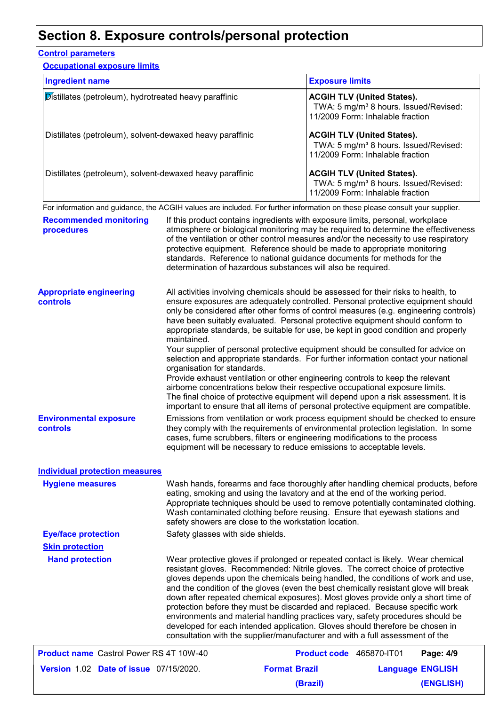### **Section 8. Exposure controls/personal protection**

### **Control parameters**

| <b>Occupational exposure limits</b>                                                                                                                                                                        |                                                                                                                                                                                                                                                                                                                                                                                                                                                                                                                                                                                                                                                                                                                                                                                                                                                                                                                                                                                                               |                                                                                                                             |  |
|------------------------------------------------------------------------------------------------------------------------------------------------------------------------------------------------------------|---------------------------------------------------------------------------------------------------------------------------------------------------------------------------------------------------------------------------------------------------------------------------------------------------------------------------------------------------------------------------------------------------------------------------------------------------------------------------------------------------------------------------------------------------------------------------------------------------------------------------------------------------------------------------------------------------------------------------------------------------------------------------------------------------------------------------------------------------------------------------------------------------------------------------------------------------------------------------------------------------------------|-----------------------------------------------------------------------------------------------------------------------------|--|
| <b>Ingredient name</b><br>Distillates (petroleum), hydrotreated heavy paraffinic<br>Distillates (petroleum), solvent-dewaxed heavy paraffinic<br>Distillates (petroleum), solvent-dewaxed heavy paraffinic |                                                                                                                                                                                                                                                                                                                                                                                                                                                                                                                                                                                                                                                                                                                                                                                                                                                                                                                                                                                                               | <b>Exposure limits</b>                                                                                                      |  |
|                                                                                                                                                                                                            |                                                                                                                                                                                                                                                                                                                                                                                                                                                                                                                                                                                                                                                                                                                                                                                                                                                                                                                                                                                                               | <b>ACGIH TLV (United States).</b><br>TWA: 5 mg/m <sup>3</sup> 8 hours. Issued/Revised:<br>11/2009 Form: Inhalable fraction  |  |
|                                                                                                                                                                                                            |                                                                                                                                                                                                                                                                                                                                                                                                                                                                                                                                                                                                                                                                                                                                                                                                                                                                                                                                                                                                               | <b>ACGIH TLV (United States).</b><br>TWA: 5 mg/m <sup>3</sup> 8 hours. Issued/Revised:<br>11/2009 Form: Inhalable fraction  |  |
|                                                                                                                                                                                                            |                                                                                                                                                                                                                                                                                                                                                                                                                                                                                                                                                                                                                                                                                                                                                                                                                                                                                                                                                                                                               | <b>ACGIH TLV (United States).</b><br>TWA: 5 mg/m <sup>3</sup> 8 hours. Issued/Revised:<br>11/2009 Form: Inhalable fraction  |  |
|                                                                                                                                                                                                            |                                                                                                                                                                                                                                                                                                                                                                                                                                                                                                                                                                                                                                                                                                                                                                                                                                                                                                                                                                                                               | For information and guidance, the ACGIH values are included. For further information on these please consult your supplier. |  |
| <b>Recommended monitoring</b><br>procedures                                                                                                                                                                | If this product contains ingredients with exposure limits, personal, workplace<br>atmosphere or biological monitoring may be required to determine the effectiveness<br>of the ventilation or other control measures and/or the necessity to use respiratory<br>protective equipment. Reference should be made to appropriate monitoring<br>standards. Reference to national guidance documents for methods for the<br>determination of hazardous substances will also be required.                                                                                                                                                                                                                                                                                                                                                                                                                                                                                                                           |                                                                                                                             |  |
| <b>Appropriate engineering</b><br>controls                                                                                                                                                                 | All activities involving chemicals should be assessed for their risks to health, to<br>ensure exposures are adequately controlled. Personal protective equipment should<br>only be considered after other forms of control measures (e.g. engineering controls)<br>have been suitably evaluated. Personal protective equipment should conform to<br>appropriate standards, be suitable for use, be kept in good condition and properly<br>maintained.<br>Your supplier of personal protective equipment should be consulted for advice on<br>selection and appropriate standards. For further information contact your national<br>organisation for standards.<br>Provide exhaust ventilation or other engineering controls to keep the relevant<br>airborne concentrations below their respective occupational exposure limits.<br>The final choice of protective equipment will depend upon a risk assessment. It is<br>important to ensure that all items of personal protective equipment are compatible. |                                                                                                                             |  |
|                                                                                                                                                                                                            |                                                                                                                                                                                                                                                                                                                                                                                                                                                                                                                                                                                                                                                                                                                                                                                                                                                                                                                                                                                                               |                                                                                                                             |  |
| <b>Environmental exposure</b><br>controls                                                                                                                                                                  | Emissions from ventilation or work process equipment should be checked to ensure<br>they comply with the requirements of environmental protection legislation. In some<br>cases, fume scrubbers, filters or engineering modifications to the process<br>equipment will be necessary to reduce emissions to acceptable levels.                                                                                                                                                                                                                                                                                                                                                                                                                                                                                                                                                                                                                                                                                 |                                                                                                                             |  |
| <b>Individual protection measures</b>                                                                                                                                                                      |                                                                                                                                                                                                                                                                                                                                                                                                                                                                                                                                                                                                                                                                                                                                                                                                                                                                                                                                                                                                               |                                                                                                                             |  |
| <b>Hygiene measures</b>                                                                                                                                                                                    | Wash hands, forearms and face thoroughly after handling chemical products, before<br>eating, smoking and using the lavatory and at the end of the working period.<br>Appropriate techniques should be used to remove potentially contaminated clothing.<br>Wash contaminated clothing before reusing. Ensure that eyewash stations and<br>safety showers are close to the workstation location.                                                                                                                                                                                                                                                                                                                                                                                                                                                                                                                                                                                                               |                                                                                                                             |  |
| <b>Eye/face protection</b>                                                                                                                                                                                 | Safety glasses with side shields.                                                                                                                                                                                                                                                                                                                                                                                                                                                                                                                                                                                                                                                                                                                                                                                                                                                                                                                                                                             |                                                                                                                             |  |
| <b>Skin protection</b>                                                                                                                                                                                     |                                                                                                                                                                                                                                                                                                                                                                                                                                                                                                                                                                                                                                                                                                                                                                                                                                                                                                                                                                                                               |                                                                                                                             |  |
| <b>Hand protection</b>                                                                                                                                                                                     |                                                                                                                                                                                                                                                                                                                                                                                                                                                                                                                                                                                                                                                                                                                                                                                                                                                                                                                                                                                                               | Wear protective gloves if prolonged or repeated contact is likely. Wear chemical                                            |  |

resistant gloves. Recommended: Nitrile gloves. The correct choice of protective gloves depends upon the chemicals being handled, the conditions of work and use, and the condition of the gloves (even the best chemically resistant glove will break down after repeated chemical exposures). Most gloves provide only a short time of protection before they must be discarded and replaced. Because specific work environments and material handling practices vary, safety procedures should be developed for each intended application. Gloves should therefore be chosen in consultation with the supplier/manufacturer and with a full assessment of the

| <b>Product name</b> Castrol Power RS 4T 10W-40 | <b>Product code</b> 465870-IT01 | Page: 4/9               |  |
|------------------------------------------------|---------------------------------|-------------------------|--|
| <b>Version 1.02 Date of issue 07/15/2020.</b>  | <b>Format Brazil</b>            | <b>Language ENGLISH</b> |  |
|                                                | (Brazil)                        | (ENGLISH)               |  |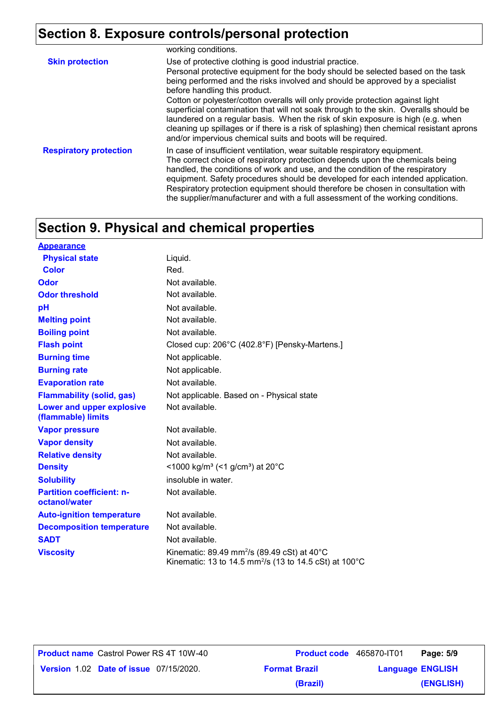## **Section 8. Exposure controls/personal protection**

|                               | working conditions.                                                                                                                                                                                                                                                                                                                                                                                                                                                                                                                                                                                                                                                                   |
|-------------------------------|---------------------------------------------------------------------------------------------------------------------------------------------------------------------------------------------------------------------------------------------------------------------------------------------------------------------------------------------------------------------------------------------------------------------------------------------------------------------------------------------------------------------------------------------------------------------------------------------------------------------------------------------------------------------------------------|
| <b>Skin protection</b>        | Use of protective clothing is good industrial practice.<br>Personal protective equipment for the body should be selected based on the task<br>being performed and the risks involved and should be approved by a specialist<br>before handling this product.<br>Cotton or polyester/cotton overalls will only provide protection against light<br>superficial contamination that will not soak through to the skin. Overalls should be<br>laundered on a regular basis. When the risk of skin exposure is high (e.g. when<br>cleaning up spillages or if there is a risk of splashing) then chemical resistant aprons<br>and/or impervious chemical suits and boots will be required. |
| <b>Respiratory protection</b> | In case of insufficient ventilation, wear suitable respiratory equipment.<br>The correct choice of respiratory protection depends upon the chemicals being<br>handled, the conditions of work and use, and the condition of the respiratory<br>equipment. Safety procedures should be developed for each intended application.<br>Respiratory protection equipment should therefore be chosen in consultation with<br>the supplier/manufacturer and with a full assessment of the working conditions.                                                                                                                                                                                 |

### **Section 9. Physical and chemical properties**

**Appearance**

| <b>Appearance</b>                                 |                                                                                                                               |
|---------------------------------------------------|-------------------------------------------------------------------------------------------------------------------------------|
| <b>Physical state</b>                             | Liquid.                                                                                                                       |
| Color                                             | Red.                                                                                                                          |
| Odor                                              | Not available.                                                                                                                |
| <b>Odor threshold</b>                             | Not available.                                                                                                                |
| рH                                                | Not available.                                                                                                                |
| <b>Melting point</b>                              | Not available.                                                                                                                |
| <b>Boiling point</b>                              | Not available.                                                                                                                |
| <b>Flash point</b>                                | Closed cup: 206°C (402.8°F) [Pensky-Martens.]                                                                                 |
| <b>Burning time</b>                               | Not applicable.                                                                                                               |
| <b>Burning rate</b>                               | Not applicable.                                                                                                               |
| <b>Evaporation rate</b>                           | Not available.                                                                                                                |
| <b>Flammability (solid, gas)</b>                  | Not applicable. Based on - Physical state                                                                                     |
| Lower and upper explosive<br>(flammable) limits   | Not available.                                                                                                                |
| <b>Vapor pressure</b>                             | Not available.                                                                                                                |
| <b>Vapor density</b>                              | Not available.                                                                                                                |
| <b>Relative density</b>                           | Not available.                                                                                                                |
| <b>Density</b>                                    | <1000 kg/m <sup>3</sup> (<1 g/cm <sup>3</sup> ) at 20 <sup>°</sup> C                                                          |
| <b>Solubility</b>                                 | insoluble in water.                                                                                                           |
| <b>Partition coefficient: n-</b><br>octanol/water | Not available.                                                                                                                |
| <b>Auto-ignition temperature</b>                  | Not available.                                                                                                                |
| <b>Decomposition temperature</b>                  | Not available.                                                                                                                |
| <b>SADT</b>                                       | Not available.                                                                                                                |
| <b>Viscosity</b>                                  | Kinematic: 89.49 mm <sup>2</sup> /s (89.49 cSt) at 40°C<br>Kinematic: 13 to 14.5 mm <sup>2</sup> /s (13 to 14.5 cSt) at 100°C |

**Product name** Castrol Power RS 4T 10W-40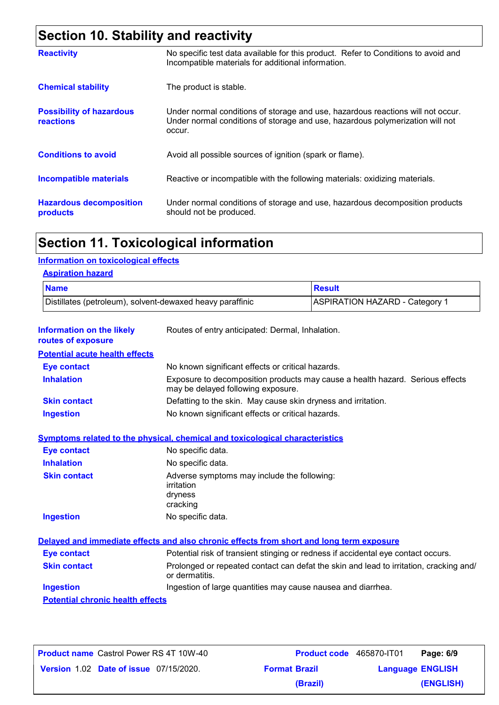## **Section 10. Stability and reactivity**

| <b>Reactivity</b>                                   | No specific test data available for this product. Refer to Conditions to avoid and<br>Incompatible materials for additional information.                                   |
|-----------------------------------------------------|----------------------------------------------------------------------------------------------------------------------------------------------------------------------------|
| <b>Chemical stability</b>                           | The product is stable.                                                                                                                                                     |
| <b>Possibility of hazardous</b><br><b>reactions</b> | Under normal conditions of storage and use, hazardous reactions will not occur.<br>Under normal conditions of storage and use, hazardous polymerization will not<br>occur. |
| <b>Conditions to avoid</b>                          | Avoid all possible sources of ignition (spark or flame).                                                                                                                   |
| Incompatible materials                              | Reactive or incompatible with the following materials: oxidizing materials.                                                                                                |
| <b>Hazardous decomposition</b><br>products          | Under normal conditions of storage and use, hazardous decomposition products<br>should not be produced.                                                                    |

### **Section 11. Toxicological information**

### **Information on toxicological effects**

### **Aspiration hazard**

| <b>Name</b>                                               | <b>Result</b>                  |
|-----------------------------------------------------------|--------------------------------|
| Distillates (petroleum), solvent-dewaxed heavy paraffinic | ASPIRATION HAZARD - Category 1 |

| Information on the likely<br>routes of exposure | Routes of entry anticipated: Dermal, Inhalation.                                                                    |  |  |
|-------------------------------------------------|---------------------------------------------------------------------------------------------------------------------|--|--|
| <b>Potential acute health effects</b>           |                                                                                                                     |  |  |
| <b>Eye contact</b>                              | No known significant effects or critical hazards.                                                                   |  |  |
| <b>Inhalation</b>                               | Exposure to decomposition products may cause a health hazard. Serious effects<br>may be delayed following exposure. |  |  |
| <b>Skin contact</b>                             | Defatting to the skin. May cause skin dryness and irritation.                                                       |  |  |
| <b>Ingestion</b>                                | No known significant effects or critical hazards.                                                                   |  |  |
|                                                 | <b>Symptoms related to the physical, chemical and toxicological characteristics</b>                                 |  |  |
| <b>Eye contact</b>                              | No specific data.                                                                                                   |  |  |
| <b>Inhalation</b>                               | No specific data.                                                                                                   |  |  |
| <b>Skin contact</b>                             | Adverse symptoms may include the following:<br>irritation<br>dryness<br>cracking                                    |  |  |
| <b>Ingestion</b>                                | No specific data.                                                                                                   |  |  |
|                                                 | Delayed and immediate effects and also chronic effects from short and long term exposure                            |  |  |
| <b>Eye contact</b>                              | Potential risk of transient stinging or redness if accidental eye contact occurs.                                   |  |  |
| <b>Skin contact</b>                             | Prolonged or repeated contact can defat the skin and lead to irritation, cracking and/<br>or dermatitis.            |  |  |
| <b>Ingestion</b>                                | Ingestion of large quantities may cause nausea and diarrhea.                                                        |  |  |
| <b>Potential chronic health effects</b>         |                                                                                                                     |  |  |

| <b>Product name Castrol Power RS 4T 10W-40</b> |  |
|------------------------------------------------|--|
| <b>Version 1.02 Date of issue 07/15/2020.</b>  |  |

**Product name** Castrol Power RS 4T 10W-40 **Product code** 465870-IT01 **Page: 6/9 ENGLISH Version** 1.02 **Format Brazil Language (ENGLISH) (Brazil)**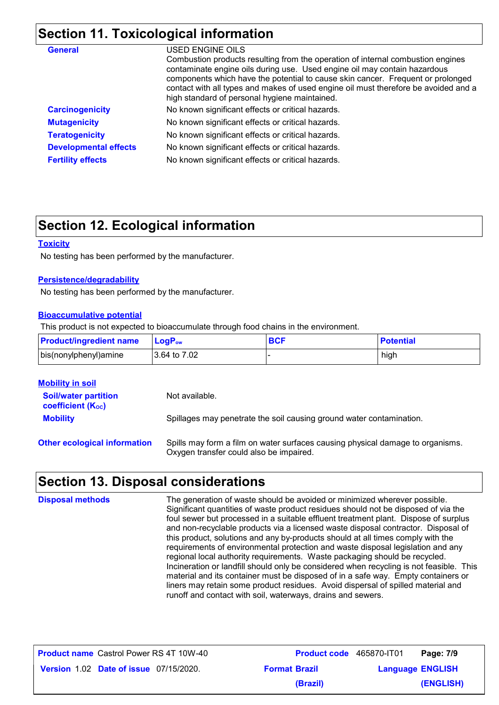## **Section 11. Toxicological information**

| <b>General</b>               | USED ENGINE OILS<br>Combustion products resulting from the operation of internal combustion engines<br>contaminate engine oils during use. Used engine oil may contain hazardous<br>components which have the potential to cause skin cancer. Frequent or prolonged<br>contact with all types and makes of used engine oil must therefore be avoided and a<br>high standard of personal hygiene maintained. |
|------------------------------|-------------------------------------------------------------------------------------------------------------------------------------------------------------------------------------------------------------------------------------------------------------------------------------------------------------------------------------------------------------------------------------------------------------|
| <b>Carcinogenicity</b>       | No known significant effects or critical hazards.                                                                                                                                                                                                                                                                                                                                                           |
| <b>Mutagenicity</b>          | No known significant effects or critical hazards.                                                                                                                                                                                                                                                                                                                                                           |
| <b>Teratogenicity</b>        | No known significant effects or critical hazards.                                                                                                                                                                                                                                                                                                                                                           |
| <b>Developmental effects</b> | No known significant effects or critical hazards.                                                                                                                                                                                                                                                                                                                                                           |
| <b>Fertility effects</b>     | No known significant effects or critical hazards.                                                                                                                                                                                                                                                                                                                                                           |

### **Section 12. Ecological information**

#### **Toxicity**

No testing has been performed by the manufacturer.

### **Persistence/degradability**

No testing has been performed by the manufacturer.

#### **Bioaccumulative potential**

This product is not expected to bioaccumulate through food chains in the environment.

| <b>Product/ingredient name</b> | <b>LogP</b> <sub>ow</sub> | <b>BCF</b> | <b>Potential</b> |
|--------------------------------|---------------------------|------------|------------------|
| bis(nonylphenyl) amine         | l 3.64 to 7.02 l          |            | high             |

| <b>Mobility in soil</b>                                 |                                                                                                                           |
|---------------------------------------------------------|---------------------------------------------------------------------------------------------------------------------------|
| <b>Soil/water partition</b><br><b>coefficient (Koc)</b> | Not available.                                                                                                            |
| <b>Mobility</b>                                         | Spillages may penetrate the soil causing ground water contamination.                                                      |
| <b>Other ecological information</b>                     | Spills may form a film on water surfaces causing physical damage to organisms.<br>Oxygen transfer could also be impaired. |

### **Section 13. Disposal considerations**

| <b>Disposal methods</b> | The generation of waste should be avoided or minimized wherever possible.<br>Significant quantities of waste product residues should not be disposed of via the<br>foul sewer but processed in a suitable effluent treatment plant. Dispose of surplus<br>and non-recyclable products via a licensed waste disposal contractor. Disposal of<br>this product, solutions and any by-products should at all times comply with the<br>requirements of environmental protection and waste disposal legislation and any<br>regional local authority requirements. Waste packaging should be recycled.<br>Incineration or landfill should only be considered when recycling is not feasible. This<br>material and its container must be disposed of in a safe way. Empty containers or<br>liners may retain some product residues. Avoid dispersal of spilled material and |
|-------------------------|---------------------------------------------------------------------------------------------------------------------------------------------------------------------------------------------------------------------------------------------------------------------------------------------------------------------------------------------------------------------------------------------------------------------------------------------------------------------------------------------------------------------------------------------------------------------------------------------------------------------------------------------------------------------------------------------------------------------------------------------------------------------------------------------------------------------------------------------------------------------|
|                         | runoff and contact with soil, waterways, drains and sewers.                                                                                                                                                                                                                                                                                                                                                                                                                                                                                                                                                                                                                                                                                                                                                                                                         |

| <b>Product name</b> Castrol Power RS 4T 10W-40 | <b>Product code</b> 465870-IT01 |                         | Page: 7/9 |
|------------------------------------------------|---------------------------------|-------------------------|-----------|
| <b>Version 1.02 Date of issue 07/15/2020.</b>  | <b>Format Brazil</b>            | <b>Language ENGLISH</b> |           |
|                                                | (Brazil)                        |                         | (ENGLISH) |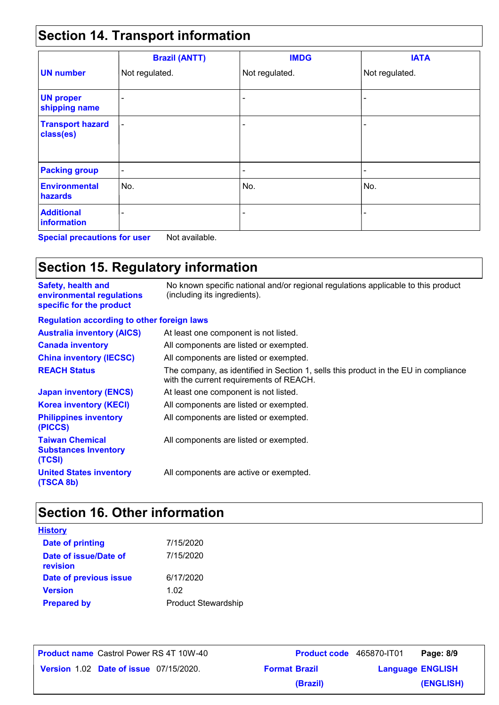## **Section 14. Transport information**

|                                      | <b>Brazil (ANTT)</b>     | <b>IMDG</b>              | <b>IATA</b>              |
|--------------------------------------|--------------------------|--------------------------|--------------------------|
| <b>UN number</b>                     | Not regulated.           | Not regulated.           | Not regulated.           |
| <b>UN proper</b><br>shipping name    | $\overline{\phantom{a}}$ | $\overline{\phantom{0}}$ |                          |
| <b>Transport hazard</b><br>class(es) | $\blacksquare$           | $\overline{\phantom{0}}$ | $\overline{\phantom{0}}$ |
| <b>Packing group</b>                 | $\overline{\phantom{a}}$ | $\overline{\phantom{a}}$ | $\overline{\phantom{a}}$ |
| <b>Environmental</b><br>hazards      | No.                      | No.                      | No.                      |
| <b>Additional</b><br>information     | -                        | $\overline{\phantom{0}}$ | $\overline{\phantom{0}}$ |

**Special precautions for user** Not available.

## **Section 15. Regulatory information**

| <b>Safety, health and</b><br>environmental regulations<br>specific for the product | No known specific national and/or regional regulations applicable to this product<br>(including its ingredients).              |
|------------------------------------------------------------------------------------|--------------------------------------------------------------------------------------------------------------------------------|
| <b>Regulation according to other foreign laws</b>                                  |                                                                                                                                |
| <b>Australia inventory (AICS)</b>                                                  | At least one component is not listed.                                                                                          |
| <b>Canada inventory</b>                                                            | All components are listed or exempted.                                                                                         |
| <b>China inventory (IECSC)</b>                                                     | All components are listed or exempted.                                                                                         |
| <b>REACH Status</b>                                                                | The company, as identified in Section 1, sells this product in the EU in compliance<br>with the current requirements of REACH. |
| <b>Japan inventory (ENCS)</b>                                                      | At least one component is not listed.                                                                                          |
| <b>Korea inventory (KECI)</b>                                                      | All components are listed or exempted.                                                                                         |
| <b>Philippines inventory</b><br>(PICCS)                                            | All components are listed or exempted.                                                                                         |
| <b>Taiwan Chemical</b><br><b>Substances Inventory</b><br>(TCSI)                    | All components are listed or exempted.                                                                                         |
| <b>United States inventory</b><br>(TSCA 8b)                                        | All components are active or exempted.                                                                                         |

## **Section 16. Other information**

| <b>History</b>                    |                            |
|-----------------------------------|----------------------------|
| Date of printing                  | 7/15/2020                  |
| Date of issue/Date of<br>revision | 7/15/2020                  |
| Date of previous issue            | 6/17/2020                  |
| <b>Version</b>                    | 1.02                       |
| <b>Prepared by</b>                | <b>Product Stewardship</b> |

| <b>Product name</b> Castrol Power RS 4T 10W-40 |                                               |  |
|------------------------------------------------|-----------------------------------------------|--|
|                                                | <b>Version 1.02 Date of issue 07/15/2020.</b> |  |

**Product name** Castrol Power RS 4T 10W-40 **Product code** 465870-IT01 **Page: 8/9 ENGLISH Version** 1.02 **Format Brazil Language (ENGLISH) (Brazil)**